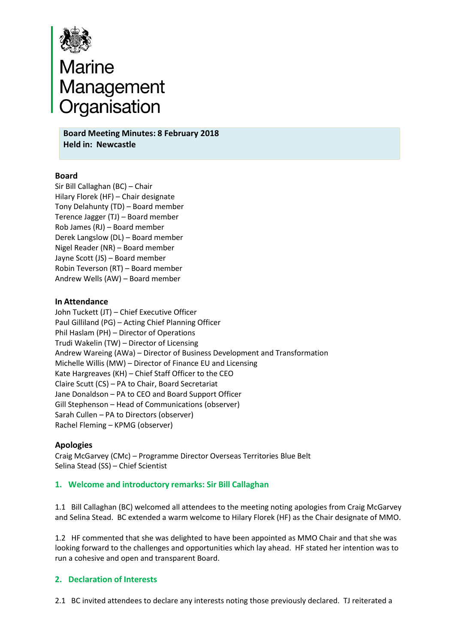

# **Board**<br>**Board Meeting Minutes: 8 February 2018**<br>Board Meeting Minutes: 8 February 2018

**Held in: Newcastle**

# **Board**

Sir Bill Callaghan (BC) – Chair Hilary Florek (HF) – Chair designate Tony Delahunty (TD) – Board member Terence Jagger (TJ) – Board member Rob James (RJ) – Board member Derek Langslow (DL) – Board member Nigel Reader (NR) – Board member Jayne Scott (JS) – Board member Robin Teverson (RT) – Board member Andrew Wells (AW) – Board member

#### **In Attendance**

John Tuckett (JT) – Chief Executive Officer Paul Gilliland (PG) – Acting Chief Planning Officer Phil Haslam (PH) – Director of Operations Trudi Wakelin (TW) – Director of Licensing Andrew Wareing (AWa) – Director of Business Development and Transformation Michelle Willis (MW) – Director of Finance EU and Licensing Kate Hargreaves (KH) – Chief Staff Officer to the CEO Claire Scutt (CS) – PA to Chair, Board Secretariat Jane Donaldson – PA to CEO and Board Support Officer Gill Stephenson – Head of Communications (observer) Sarah Cullen – PA to Directors (observer) Rachel Fleming – KPMG (observer)

#### **Apologies**

Craig McGarvey (CMc) – Programme Director Overseas Territories Blue Belt Selina Stead (SS) – Chief Scientist

#### **1. Welcome and introductory remarks: Sir Bill Callaghan**

1.1 Bill Callaghan (BC) welcomed all attendees to the meeting noting apologies from Craig McGarvey and Selina Stead. BC extended a warm welcome to Hilary Florek (HF) as the Chair designate of MMO.

1.2 HF commented that she was delighted to have been appointed as MMO Chair and that she was looking forward to the challenges and opportunities which lay ahead. HF stated her intention was to run a cohesive and open and transparent Board.

#### **2. Declaration of Interests**

2.1 BC invited attendees to declare any interests noting those previously declared. TJ reiterated a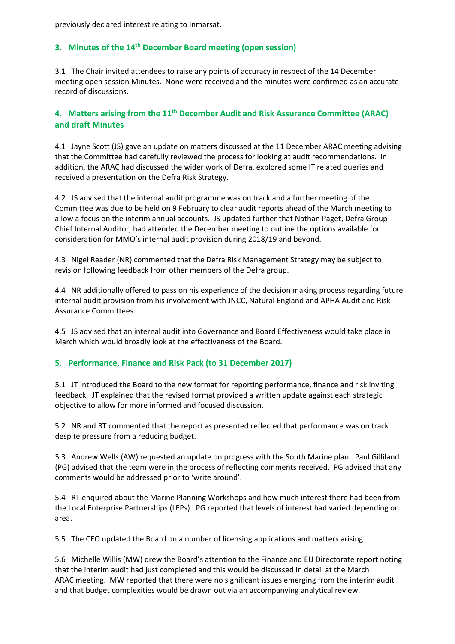previously declared interest relating to Inmarsat.

# **3. Minutes of the 14th December Board meeting (open session)**

3.1 The Chair invited attendees to raise any points of accuracy in respect of the 14 December meeting open session Minutes. None were received and the minutes were confirmed as an accurate record of discussions.

# **4. Matters arising from the 11th December Audit and Risk Assurance Committee (ARAC) and draft Minutes**

4.1 Jayne Scott (JS) gave an update on matters discussed at the 11 December ARAC meeting advising that the Committee had carefully reviewed the process for looking at audit recommendations. In addition, the ARAC had discussed the wider work of Defra, explored some IT related queries and received a presentation on the Defra Risk Strategy.

4.2 JS advised that the internal audit programme was on track and a further meeting of the Committee was due to be held on 9 February to clear audit reports ahead of the March meeting to allow a focus on the interim annual accounts. JS updated further that Nathan Paget, Defra Group Chief Internal Auditor, had attended the December meeting to outline the options available for consideration for MMO's internal audit provision during 2018/19 and beyond.

4.3 Nigel Reader (NR) commented that the Defra Risk Management Strategy may be subject to revision following feedback from other members of the Defra group.

4.4 NR additionally offered to pass on his experience of the decision making process regarding future internal audit provision from his involvement with JNCC, Natural England and APHA Audit and Risk Assurance Committees.

4.5 JS advised that an internal audit into Governance and Board Effectiveness would take place in March which would broadly look at the effectiveness of the Board.

# **5. Performance, Finance and Risk Pack (to 31 December 2017)**

5.1 JT introduced the Board to the new format for reporting performance, finance and risk inviting feedback. JT explained that the revised format provided a written update against each strategic objective to allow for more informed and focused discussion.

5.2 NR and RT commented that the report as presented reflected that performance was on track despite pressure from a reducing budget.

5.3 Andrew Wells (AW) requested an update on progress with the South Marine plan. Paul Gilliland (PG) advised that the team were in the process of reflecting comments received. PG advised that any comments would be addressed prior to 'write around'.

 5.4 RT enquired about the Marine Planning Workshops and how much interest there had been from the Local Enterprise Partnerships (LEPs). PG reported that levels of interest had varied depending on area.

5.5 The CEO updated the Board on a number of licensing applications and matters arising.

 5.6 Michelle Willis (MW) drew the Board's attention to the Finance and EU Directorate report noting that the interim audit had just completed and this would be discussed in detail at the March ARAC meeting. MW reported that there were no significant issues emerging from the interim audit and that budget complexities would be drawn out via an accompanying analytical review.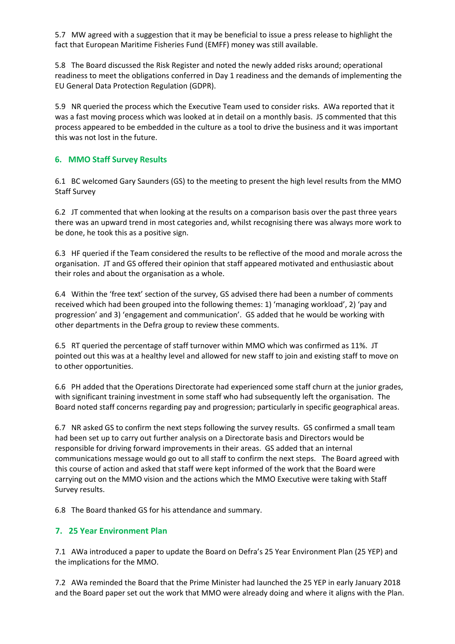5.7 MW agreed with a suggestion that it may be beneficial to issue a press release to highlight the fact that European Maritime Fisheries Fund (EMFF) money was still available.

 5.8 The Board discussed the Risk Register and noted the newly added risks around; operational readiness to meet the obligations conferred in Day 1 readiness and the demands of implementing the EU General Data Protection Regulation (GDPR).

5.9 NR queried the process which the Executive Team used to consider risks. AWa reported that it was a fast moving process which was looked at in detail on a monthly basis. JS commented that this process appeared to be embedded in the culture as a tool to drive the business and it was important this was not lost in the future.

# **6. MMO Staff Survey Results**

6.1 BC welcomed Gary Saunders (GS) to the meeting to present the high level results from the MMO Staff Survey

6.2 JT commented that when looking at the results on a comparison basis over the past three years there was an upward trend in most categories and, whilst recognising there was always more work to be done, he took this as a positive sign.

6.3 HF queried if the Team considered the results to be reflective of the mood and morale across the organisation. JT and GS offered their opinion that staff appeared motivated and enthusiastic about their roles and about the organisation as a whole.

6.4 Within the 'free text' section of the survey, GS advised there had been a number of comments received which had been grouped into the following themes: 1) 'managing workload', 2) 'pay and progression' and 3) 'engagement and communication'. GS added that he would be working with other departments in the Defra group to review these comments.

6.5 RT queried the percentage of staff turnover within MMO which was confirmed as 11%. JT pointed out this was at a healthy level and allowed for new staff to join and existing staff to move on to other opportunities.

6.6 PH added that the Operations Directorate had experienced some staff churn at the junior grades, with significant training investment in some staff who had subsequently left the organisation. The Board noted staff concerns regarding pay and progression; particularly in specific geographical areas.

6.7 NR asked GS to confirm the next steps following the survey results. GS confirmed a small team had been set up to carry out further analysis on a Directorate basis and Directors would be responsible for driving forward improvements in their areas. GS added that an internal communications message would go out to all staff to confirm the next steps. The Board agreed with this course of action and asked that staff were kept informed of the work that the Board were carrying out on the MMO vision and the actions which the MMO Executive were taking with Staff Survey results.

6.8 The Board thanked GS for his attendance and summary.

# **7. 25 Year Environment Plan**

7.1 AWa introduced a paper to update the Board on Defra's 25 Year Environment Plan (25 YEP) and the implications for the MMO.

7.2 AWa reminded the Board that the Prime Minister had launched the 25 YEP in early January 2018 and the Board paper set out the work that MMO were already doing and where it aligns with the Plan.